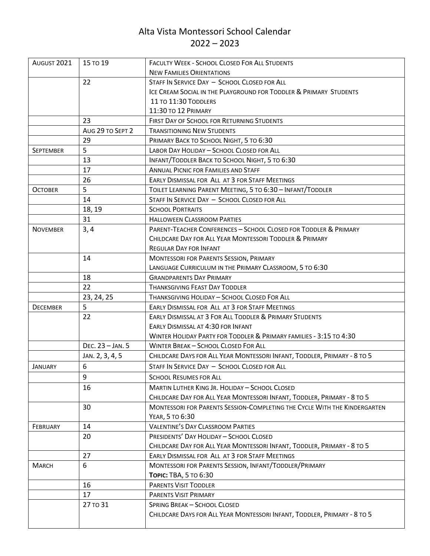## Alta Vista Montessori School Calendar  $2022 - 2023$

| AUGUST 2021      | 15 TO 19         | <b>FACULTY WEEK - SCHOOL CLOSED FOR ALL STUDENTS</b>                      |
|------------------|------------------|---------------------------------------------------------------------------|
|                  |                  | <b>NEW FAMILIES ORIENTATIONS</b>                                          |
|                  | 22               | STAFF IN SERVICE DAY - SCHOOL CLOSED FOR ALL                              |
|                  |                  | ICE CREAM SOCIAL IN THE PLAYGROUND FOR TODDLER & PRIMARY STUDENTS         |
|                  |                  | 11 TO 11:30 TODDLERS                                                      |
|                  |                  | 11:30 TO 12 PRIMARY                                                       |
|                  | 23               | FIRST DAY OF SCHOOL FOR RETURNING STUDENTS                                |
|                  | AUG 29 TO SEPT 2 | <b>TRANSITIONING NEW STUDENTS</b>                                         |
|                  | 29               | PRIMARY BACK TO SCHOOL NIGHT, 5 TO 6:30                                   |
| <b>SEPTEMBER</b> | 5                | LABOR DAY HOLIDAY - SCHOOL CLOSED FOR ALL                                 |
|                  | 13               | INFANT/TODDLER BACK TO SCHOOL NIGHT, 5 TO 6:30                            |
|                  | 17               | <b>ANNUAL PICNIC FOR FAMILIES AND STAFF</b>                               |
|                  | 26               | EARLY DISMISSAL FOR ALL AT 3 FOR STAFF MEETINGS                           |
| <b>OCTOBER</b>   | 5                | TOILET LEARNING PARENT MEETING, 5 TO 6:30 - INFANT/TODDLER                |
|                  | 14               | STAFF IN SERVICE DAY - SCHOOL CLOSED FOR ALL                              |
|                  | 18, 19           | <b>SCHOOL PORTRAITS</b>                                                   |
|                  | 31               | <b>HALLOWEEN CLASSROOM PARTIES</b>                                        |
| <b>NOVEMBER</b>  | 3,4              | PARENT-TEACHER CONFERENCES - SCHOOL CLOSED FOR TODDLER & PRIMARY          |
|                  |                  | CHILDCARE DAY FOR ALL YEAR MONTESSORI TODDLER & PRIMARY                   |
|                  |                  | <b>REGULAR DAY FOR INFANT</b>                                             |
|                  | 14               | <b>MONTESSORI FOR PARENTS SESSION, PRIMARY</b>                            |
|                  |                  | LANGUAGE CURRICULUM IN THE PRIMARY CLASSROOM, 5 TO 6:30                   |
|                  | 18               | <b>GRANDPARENTS DAY PRIMARY</b>                                           |
|                  | 22               | <b>THANKSGIVING FEAST DAY TODDLER</b>                                     |
|                  | 23, 24, 25       | THANKSGIVING HOLIDAY - SCHOOL CLOSED FOR ALL                              |
| <b>DECEMBER</b>  | 5                | EARLY DISMISSAL FOR ALL AT 3 FOR STAFF MEETINGS                           |
|                  | 22               | EARLY DISMISSAL AT 3 FOR ALL TODDLER & PRIMARY STUDENTS                   |
|                  |                  | EARLY DISMISSAL AT 4:30 FOR INFANT                                        |
|                  |                  | WINTER HOLIDAY PARTY FOR TODDLER & PRIMARY FAMILIES - 3:15 TO 4:30        |
|                  | DEC. 23 - JAN. 5 | WINTER BREAK - SCHOOL CLOSED FOR ALL                                      |
|                  | JAN. 2, 3, 4, 5  | CHILDCARE DAYS FOR ALL YEAR MONTESSORI INFANT, TODDLER, PRIMARY - 8 TO 5  |
| <b>JANUARY</b>   | 6                | STAFF IN SERVICE DAY - SCHOOL CLOSED FOR ALL                              |
|                  | 9                | <b>SCHOOL RESUMES FOR ALL</b>                                             |
|                  | 16               | <b>MARTIN LUTHER KING JR. HOLIDAY - SCHOOL CLOSED</b>                     |
|                  |                  | CHILDCARE DAY FOR ALL YEAR MONTESSORI INFANT, TODDLER, PRIMARY - 8 TO 5   |
|                  | 30               | MONTESSORI FOR PARENTS SESSION-COMPLETING THE CYCLE WITH THE KINDERGARTEN |
|                  |                  | YEAR, 5 TO 6:30                                                           |
| FEBRUARY         | 14               | <b>VALENTINE'S DAY CLASSROOM PARTIES</b>                                  |
|                  | 20               | PRESIDENTS' DAY HOLIDAY - SCHOOL CLOSED                                   |
|                  |                  | CHILDCARE DAY FOR ALL YEAR MONTESSORI INFANT, TODDLER, PRIMARY - 8 TO 5   |
|                  | 27               | EARLY DISMISSAL FOR ALL AT 3 FOR STAFF MEETINGS                           |
| <b>MARCH</b>     | 6                | MONTESSORI FOR PARENTS SESSION, INFANT/TODDLER/PRIMARY                    |
|                  |                  | Торіс: ТВА, 5 то 6:30                                                     |
|                  | 16               | <b>PARENTS VISIT TODDLER</b>                                              |
|                  | 17               | <b>PARENTS VISIT PRIMARY</b>                                              |
|                  | 27 то 31         | <b>SPRING BREAK - SCHOOL CLOSED</b>                                       |
|                  |                  | CHILDCARE DAYS FOR ALL YEAR MONTESSORI INFANT, TODDLER, PRIMARY - 8 TO 5  |
|                  |                  |                                                                           |